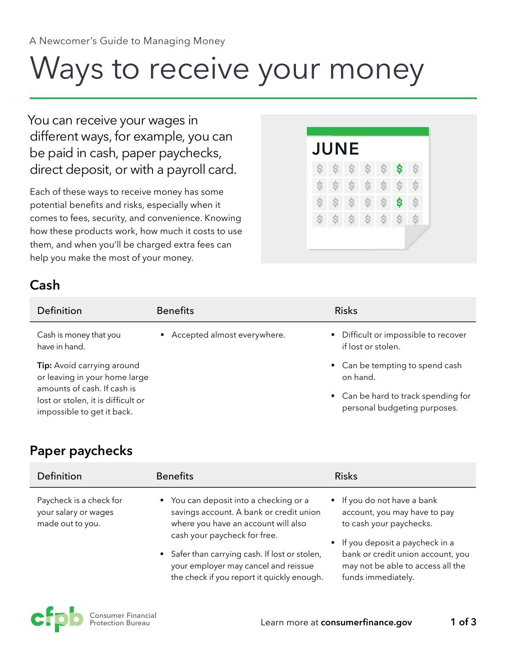# Ways to receive your money

You can receive your wages in different ways, for example, you can be paid in cash, paper paychecks, direct deposit, or with a payroll card.

Each of these ways to receive money has some potential benefits and risks, especially when it comes to fees, security, and convenience. Knowing how these products work, how much it costs to use them, and when you'll be charged extra fees can help you make the most of your money.

### **Cash**



| Definition                                                                                                                                                     | <b>Benefits</b>               | <b>Risks</b>                                                                                                       |
|----------------------------------------------------------------------------------------------------------------------------------------------------------------|-------------------------------|--------------------------------------------------------------------------------------------------------------------|
| Cash is money that you<br>have in hand.                                                                                                                        | • Accepted almost everywhere. | • Difficult or impossible to recover<br>if lost or stolen.                                                         |
| Tip: Avoid carrying around<br>or leaving in your home large<br>amounts of cash. If cash is<br>lost or stolen, it is difficult or<br>impossible to get it back. |                               | • Can be tempting to spend cash<br>on hand.<br>• Can be hard to track spending for<br>personal budgeting purposes. |

#### **Paper paychecks**

| Definition                                                          | <b>Benefits</b>                                                                                                                                                                                                                                                                                  | <b>Risks</b>                                                                                                                                                                                                           |
|---------------------------------------------------------------------|--------------------------------------------------------------------------------------------------------------------------------------------------------------------------------------------------------------------------------------------------------------------------------------------------|------------------------------------------------------------------------------------------------------------------------------------------------------------------------------------------------------------------------|
| Paycheck is a check for<br>your salary or wages<br>made out to you. | • You can deposit into a checking or a<br>savings account. A bank or credit union<br>where you have an account will also<br>cash your paycheck for free.<br>• Safer than carrying cash. If lost or stolen,<br>your employer may cancel and reissue<br>the check if you report it quickly enough. | If you do not have a bank<br>account, you may have to pay<br>to cash your paychecks.<br>If you deposit a paycheck in a<br>bank or credit union account, you<br>may not be able to access all the<br>funds immediately. |

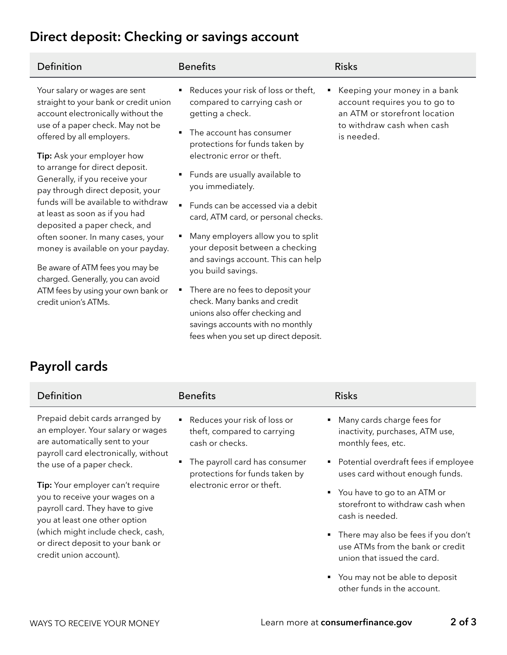## **Direct deposit: Checking or savings account**

| <b>Benefits</b><br>Definition                                                                                                                                                                                                                                                                                                                                                                                                                                                                                                                                                                                                                                                                          |                                                                                                                                                                                                                                                                                                                                                                                                                                                                                                                                                                                                      | <b>Risks</b>                                                                                                                               |
|--------------------------------------------------------------------------------------------------------------------------------------------------------------------------------------------------------------------------------------------------------------------------------------------------------------------------------------------------------------------------------------------------------------------------------------------------------------------------------------------------------------------------------------------------------------------------------------------------------------------------------------------------------------------------------------------------------|------------------------------------------------------------------------------------------------------------------------------------------------------------------------------------------------------------------------------------------------------------------------------------------------------------------------------------------------------------------------------------------------------------------------------------------------------------------------------------------------------------------------------------------------------------------------------------------------------|--------------------------------------------------------------------------------------------------------------------------------------------|
| Your salary or wages are sent<br>straight to your bank or credit union<br>account electronically without the<br>getting a check.<br>use of a paper check. May not be<br>offered by all employers.<br><b>Tip:</b> Ask your employer how<br>to arrange for direct deposit.<br>٠<br>Generally, if you receive your<br>you immediately.<br>pay through direct deposit, your<br>funds will be available to withdraw<br>at least as soon as if you had<br>deposited a paper check, and<br>often sooner. In many cases, your<br>money is available on your payday.<br>Be aware of ATM fees you may be<br>charged. Generally, you can avoid<br>ATM fees by using your own bank or<br>٠<br>credit union's ATMs. | Reduces your risk of loss or theft,<br>compared to carrying cash or<br>The account has consumer<br>protections for funds taken by<br>electronic error or theft.<br>Funds are usually available to<br>Funds can be accessed via a debit<br>card, ATM card, or personal checks.<br>Many employers allow you to split<br>your deposit between a checking<br>and savings account. This can help<br>you build savings.<br>There are no fees to deposit your<br>check. Many banks and credit<br>unions also offer checking and<br>savings accounts with no monthly<br>fees when you set up direct deposit. | Keeping your money in a bank<br>account requires you to go to<br>an ATM or storefront location<br>to withdraw cash when cash<br>is needed. |

## **Payroll cards**

| Definition                                                                                                                                                                                                                                                                                                                                                                                                                | <b>Benefits</b>                                                                  | <b>Risks</b>                                                                                             |
|---------------------------------------------------------------------------------------------------------------------------------------------------------------------------------------------------------------------------------------------------------------------------------------------------------------------------------------------------------------------------------------------------------------------------|----------------------------------------------------------------------------------|----------------------------------------------------------------------------------------------------------|
| Prepaid debit cards arranged by<br>an employer. Your salary or wages<br>are automatically sent to your<br>payroll card electronically, without<br>the use of a paper check.<br>Tip: Your employer can't require<br>you to receive your wages on a<br>payroll card. They have to give<br>you at least one other option<br>(which might include check, cash,<br>or direct deposit to your bank or<br>credit union account). | ■ Reduces your risk of loss or<br>theft, compared to carrying<br>cash or checks. | • Many cards charge fees for<br>inactivity, purchases, ATM use,<br>monthly fees, etc.                    |
|                                                                                                                                                                                                                                                                                                                                                                                                                           | The payroll card has consumer<br>٠<br>protections for funds taken by             | • Potential overdraft fees if employee<br>uses card without enough funds.                                |
|                                                                                                                                                                                                                                                                                                                                                                                                                           | electronic error or theft.                                                       | You have to go to an ATM or<br>٠<br>storefront to withdraw cash when<br>cash is needed.                  |
|                                                                                                                                                                                                                                                                                                                                                                                                                           |                                                                                  | • There may also be fees if you don't<br>use ATMs from the bank or credit<br>union that issued the card. |
|                                                                                                                                                                                                                                                                                                                                                                                                                           |                                                                                  | • You may not be able to deposit<br>other funds in the account.                                          |